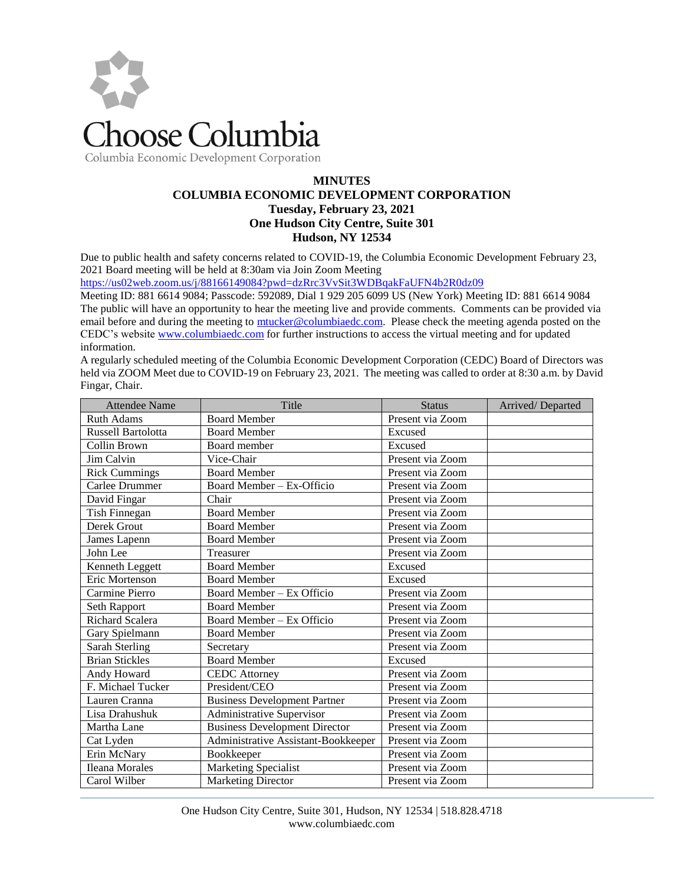

Columbia Economic Development Corporation

## **MINUTES COLUMBIA ECONOMIC DEVELOPMENT CORPORATION Tuesday, February 23, 2021 One Hudson City Centre, Suite 301 Hudson, NY 12534**

Due to public health and safety concerns related to COVID-19, the Columbia Economic Development February 23, 2021 Board meeting will be held at 8:30am via Join Zoom Meeting

<https://us02web.zoom.us/j/88166149084?pwd=dzRrc3VvSit3WDBqakFaUFN4b2R0dz09>

Meeting ID: 881 6614 9084; Passcode: 592089, Dial 1 929 205 6099 US (New York) Meeting ID: 881 6614 9084 The public will have an opportunity to hear the meeting live and provide comments. Comments can be provided via email before and during the meeting to [mtucker@columbiaedc.com.](mailto:mtucker@columbiaedc.com) Please check the meeting agenda posted on the CEDC's website [www.columbiaedc.com](http://www.columbiaedc.com/) for further instructions to access the virtual meeting and for updated information.

A regularly scheduled meeting of the Columbia Economic Development Corporation (CEDC) Board of Directors was held via ZOOM Meet due to COVID-19 on February 23, 2021. The meeting was called to order at 8:30 a.m. by David Fingar, Chair.

| <b>Attendee Name</b>   | Title                                | <b>Status</b>    | Arrived/Departed |
|------------------------|--------------------------------------|------------------|------------------|
| <b>Ruth Adams</b>      | <b>Board Member</b>                  | Present via Zoom |                  |
| Russell Bartolotta     | <b>Board Member</b>                  | Excused          |                  |
| Collin Brown           | Board member                         | Excused          |                  |
| Jim Calvin             | Vice-Chair                           | Present via Zoom |                  |
| <b>Rick Cummings</b>   | <b>Board Member</b>                  | Present via Zoom |                  |
| Carlee Drummer         | Board Member - Ex-Officio            | Present via Zoom |                  |
| David Fingar           | Chair                                | Present via Zoom |                  |
| Tish Finnegan          | <b>Board Member</b>                  | Present via Zoom |                  |
| Derek Grout            | <b>Board Member</b>                  | Present via Zoom |                  |
| James Lapenn           | <b>Board Member</b>                  | Present via Zoom |                  |
| John Lee               | Treasurer                            | Present via Zoom |                  |
| Kenneth Leggett        | <b>Board Member</b>                  | Excused          |                  |
| Eric Mortenson         | <b>Board Member</b>                  | Excused          |                  |
| Carmine Pierro         | Board Member - Ex Officio            | Present via Zoom |                  |
| <b>Seth Rapport</b>    | <b>Board Member</b>                  | Present via Zoom |                  |
| <b>Richard Scalera</b> | Board Member - Ex Officio            | Present via Zoom |                  |
| Gary Spielmann         | <b>Board Member</b>                  | Present via Zoom |                  |
| Sarah Sterling         | Secretary                            | Present via Zoom |                  |
| <b>Brian Stickles</b>  | <b>Board Member</b>                  | Excused          |                  |
| Andy Howard            | <b>CEDC</b> Attorney                 | Present via Zoom |                  |
| F. Michael Tucker      | President/CEO                        | Present via Zoom |                  |
| Lauren Cranna          | <b>Business Development Partner</b>  | Present via Zoom |                  |
| Lisa Drahushuk         | Administrative Supervisor            | Present via Zoom |                  |
| Martha Lane            | <b>Business Development Director</b> | Present via Zoom |                  |
| Cat Lyden              | Administrative Assistant-Bookkeeper  | Present via Zoom |                  |
| Erin McNary            | Bookkeeper                           | Present via Zoom |                  |
| <b>Ileana Morales</b>  | Marketing Specialist                 | Present via Zoom |                  |
| Carol Wilber           | <b>Marketing Director</b>            | Present via Zoom |                  |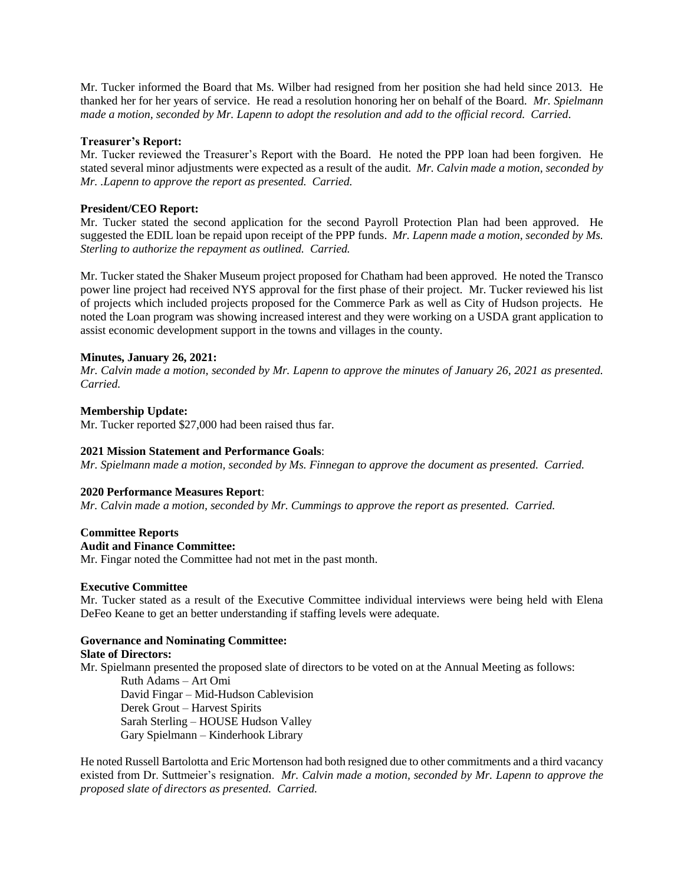Mr. Tucker informed the Board that Ms. Wilber had resigned from her position she had held since 2013. He thanked her for her years of service. He read a resolution honoring her on behalf of the Board. *Mr. Spielmann made a motion, seconded by Mr. Lapenn to adopt the resolution and add to the official record. Carried*.

#### **Treasurer's Report:**

Mr. Tucker reviewed the Treasurer's Report with the Board. He noted the PPP loan had been forgiven*.* He stated several minor adjustments were expected as a result of the audit. *Mr. Calvin made a motion, seconded by Mr. .Lapenn to approve the report as presented. Carried.* 

## **President/CEO Report:**

Mr. Tucker stated the second application for the second Payroll Protection Plan had been approved. He suggested the EDIL loan be repaid upon receipt of the PPP funds. *Mr. Lapenn made a motion, seconded by Ms. Sterling to authorize the repayment as outlined. Carried.*

Mr. Tucker stated the Shaker Museum project proposed for Chatham had been approved. He noted the Transco power line project had received NYS approval for the first phase of their project. Mr. Tucker reviewed his list of projects which included projects proposed for the Commerce Park as well as City of Hudson projects. He noted the Loan program was showing increased interest and they were working on a USDA grant application to assist economic development support in the towns and villages in the county.

## **Minutes, January 26, 2021:**

*Mr. Calvin made a motion, seconded by Mr. Lapenn to approve the minutes of January 26, 2021 as presented. Carried.*

## **Membership Update:**

Mr. Tucker reported \$27,000 had been raised thus far.

#### **2021 Mission Statement and Performance Goals**:

*Mr. Spielmann made a motion, seconded by Ms. Finnegan to approve the document as presented. Carried.*

#### **2020 Performance Measures Report**:

*Mr. Calvin made a motion, seconded by Mr. Cummings to approve the report as presented. Carried.*

# **Committee Reports**

#### **Audit and Finance Committee:**

Mr. Fingar noted the Committee had not met in the past month.

#### **Executive Committee**

Mr. Tucker stated as a result of the Executive Committee individual interviews were being held with Elena DeFeo Keane to get an better understanding if staffing levels were adequate.

#### **Governance and Nominating Committee:**

#### **Slate of Directors:**

Mr. Spielmann presented the proposed slate of directors to be voted on at the Annual Meeting as follows:

Ruth Adams – Art Omi David Fingar – Mid-Hudson Cablevision Derek Grout – Harvest Spirits Sarah Sterling – HOUSE Hudson Valley Gary Spielmann – Kinderhook Library

He noted Russell Bartolotta and Eric Mortenson had both resigned due to other commitments and a third vacancy existed from Dr. Suttmeier's resignation. *Mr. Calvin made a motion, seconded by Mr. Lapenn to approve the proposed slate of directors as presented. Carried.*